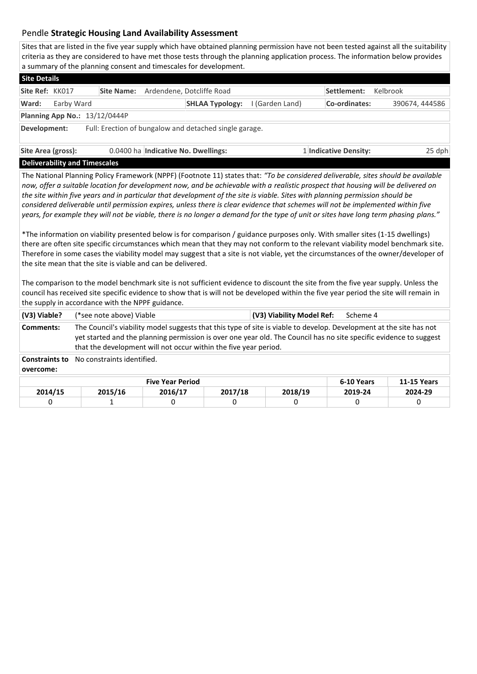## Pendle **Strategic Housing Land Availability Assessment**

Sites that are listed in the five year supply which have obtained planning permission have not been tested against all the suitability criteria as they are considered to have met those tests through the planning application process. The information below provides a summary of the planning consent and timescales for development.

| <b>Site Details</b>                                                    |            |                                                |                                     |                 |                       |                |  |  |  |  |  |  |
|------------------------------------------------------------------------|------------|------------------------------------------------|-------------------------------------|-----------------|-----------------------|----------------|--|--|--|--|--|--|
| Site Ref: KK017                                                        |            | Ardendene, Dotcliffe Road<br><b>Site Name:</b> |                                     |                 | Settlement:           | Kelbrook       |  |  |  |  |  |  |
| Ward:                                                                  | Earby Ward |                                                | <b>SHLAA Typology:</b>              | I (Garden Land) | Co-ordinates:         | 390674, 444586 |  |  |  |  |  |  |
| Planning App No.: $13/12/0444P$                                        |            |                                                |                                     |                 |                       |                |  |  |  |  |  |  |
| Full: Erection of bungalow and detached single garage.<br>Development: |            |                                                |                                     |                 |                       |                |  |  |  |  |  |  |
| Site Area (gross):                                                     |            |                                                | 0.0400 ha Indicative No. Dwellings: |                 | 1 Indicative Density: | 25 dph         |  |  |  |  |  |  |

## **Deliverability and Timescales**

The National Planning Policy Framework (NPPF) (Footnote 11) states that: *"To be considered deliverable, sites should be available now, offer a suitable location for development now, and be achievable with a realistic prospect that housing will be delivered on the site within five years and in particular that development of the site is viable. Sites with planning permission should be considered deliverable until permission expires, unless there is clear evidence that schemes will not be implemented within five years, for example they will not be viable, there is no longer a demand for the type of unit or sites have long term phasing plans."*

\*The information on viability presented below is for comparison / guidance purposes only. With smaller sites (1-15 dwellings) there are often site specific circumstances which mean that they may not conform to the relevant viability model benchmark site. Therefore in some cases the viability model may suggest that a site is not viable, yet the circumstances of the owner/developer of the site mean that the site is viable and can be delivered.

The comparison to the model benchmark site is not sufficient evidence to discount the site from the five year supply. Unless the council has received site specific evidence to show that is will not be developed within the five year period the site will remain in the supply in accordance with the NPPF guidance.

| (V3) Viable?<br>(*see note above) Viable                                                                                                                                                                                                                                                                                   |                            |         | (V3) Viability Model Ref: | Scheme 4           |         |         |  |  |  |  |  |
|----------------------------------------------------------------------------------------------------------------------------------------------------------------------------------------------------------------------------------------------------------------------------------------------------------------------------|----------------------------|---------|---------------------------|--------------------|---------|---------|--|--|--|--|--|
| The Council's viability model suggests that this type of site is viable to develop. Development at the site has not<br>Comments:<br>yet started and the planning permission is over one year old. The Council has no site specific evidence to suggest<br>that the development will not occur within the five year period. |                            |         |                           |                    |         |         |  |  |  |  |  |
| <b>Constraints to</b><br>overcome:                                                                                                                                                                                                                                                                                         | No constraints identified. |         |                           |                    |         |         |  |  |  |  |  |
|                                                                                                                                                                                                                                                                                                                            |                            |         | 6-10 Years                | <b>11-15 Years</b> |         |         |  |  |  |  |  |
| 2014/15                                                                                                                                                                                                                                                                                                                    | 2015/16                    | 2016/17 | 2017/18                   | 2018/19            | 2019-24 | 2024-29 |  |  |  |  |  |
|                                                                                                                                                                                                                                                                                                                            |                            | 0       |                           | 0                  | 0       | 0       |  |  |  |  |  |